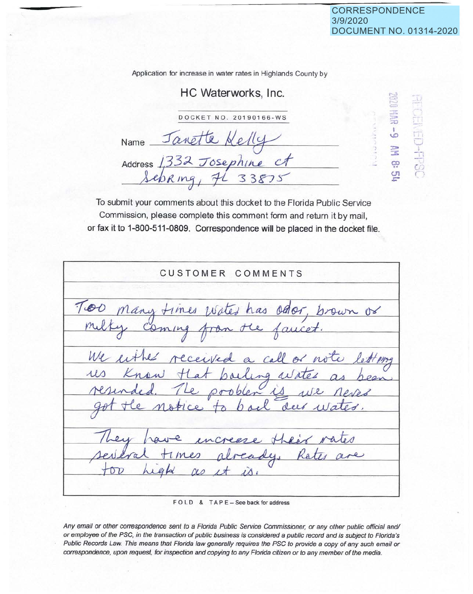$P = 2$  $\approx$ **c::>**  :;o I  $\circ$ :::,,, ::!: *Cf?*   $\mathbf{C}$ .-

<u>' i</u>  $r_{\rm H}$ 

> -.-. . *<sup>r</sup>) r,*

.

Application for increase in water rates in Highlands County by

## HC Waterworks, Inc.

DOCKET NO . 20190166-WS

Jano Name  $-$ Address 1332 Josephine

To submit your comments about this docket to the Florida Public Service Commission, please complete this comment form and return it by mail, or fax it to 1-800-511-0809. Correspondence will be placed in the docket file.

CUSTOMER COMMENTS Many times water has offer, brown or faucet  $\infty$ from ming a call cceived We eithe of no sailing  $\mu$ oblen  $\alpha$ 

F O L D & T A P E - See back for address

Any email or other correspondence sent to a Florida Public Service Commissioner, or any other public official and/ or employee of the PSC, in the transaction of public business is considered a public record and is subject to Florida's Public Records Law. This means that Florida law generally requires the PSC to provide a copy of any such email or correspondence, upon request, for inspection and copying to any Florida citizen or to any member of the media.